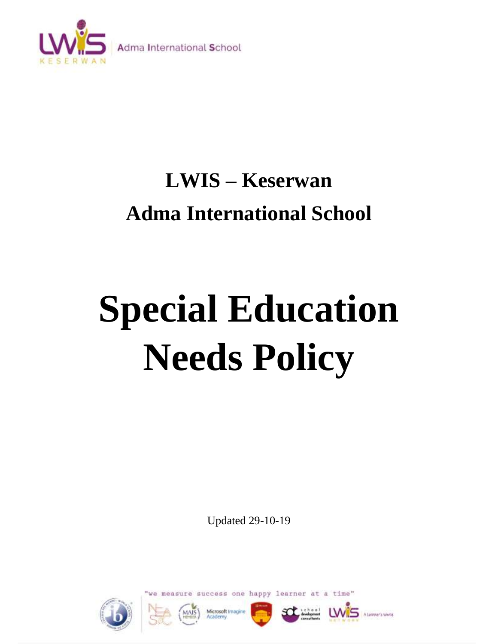

# **LWIS – Keserwan Adma International School**

# **Special Education Needs Policy**

Updated 29-10-19







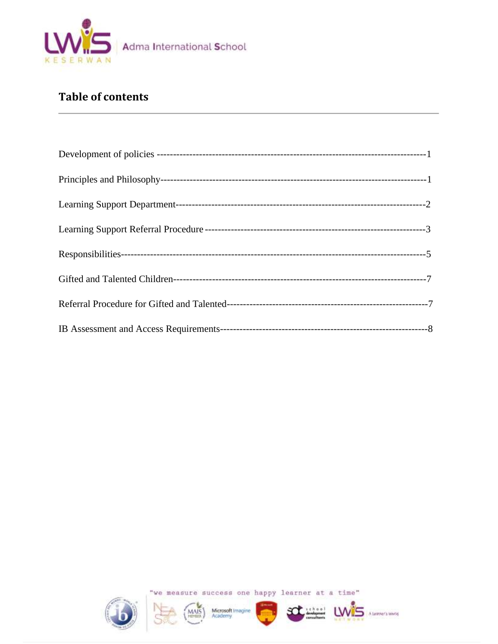

# **Table of contents**











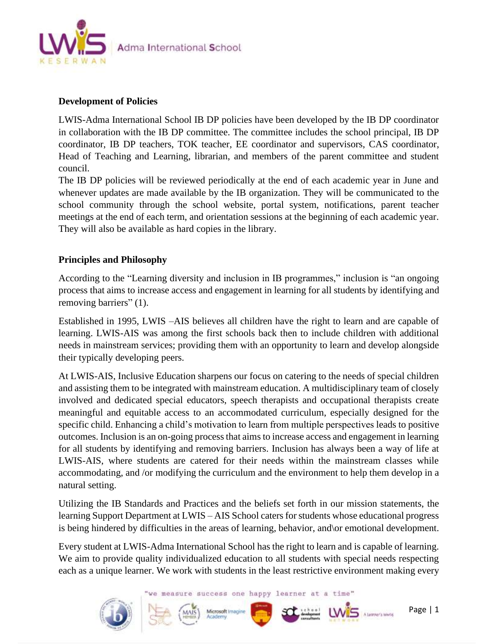

# **Development of Policies**

LWIS-Adma International School IB DP policies have been developed by the IB DP coordinator in collaboration with the IB DP committee. The committee includes the school principal, IB DP coordinator, IB DP teachers, TOK teacher, EE coordinator and supervisors, CAS coordinator, Head of Teaching and Learning, librarian, and members of the parent committee and student council.

The IB DP policies will be reviewed periodically at the end of each academic year in June and whenever updates are made available by the IB organization. They will be communicated to the school community through the school website, portal system, notifications, parent teacher meetings at the end of each term, and orientation sessions at the beginning of each academic year. They will also be available as hard copies in the library.

# **Principles and Philosophy**

According to the "Learning diversity and inclusion in IB programmes," inclusion is "an ongoing process that aims to increase access and engagement in learning for all students by identifying and removing barriers" (1).

Established in 1995, LWIS –AIS believes all children have the right to learn and are capable of learning. LWIS-AIS was among the first schools back then to include children with additional needs in mainstream services; providing them with an opportunity to learn and develop alongside their typically developing peers.

At LWIS-AIS, Inclusive Education sharpens our focus on catering to the needs of special children and assisting them to be integrated with mainstream education. A multidisciplinary team of closely involved and dedicated special educators, speech therapists and occupational therapists create meaningful and equitable access to an accommodated curriculum, especially designed for the specific child. Enhancing a child's motivation to learn from multiple perspectives leads to positive outcomes. Inclusion is an on-going process that aims to increase access and engagement in learning for all students by identifying and removing barriers. Inclusion has always been a way of life at LWIS-AIS, where students are catered for their needs within the mainstream classes while accommodating, and /or modifying the curriculum and the environment to help them develop in a natural setting.

Utilizing the IB Standards and Practices and the beliefs set forth in our mission statements, the learning Support Department at LWIS – AIS School caters for students whose educational progress is being hindered by difficulties in the areas of learning, behavior, and\or emotional development.

Every student at LWIS-Adma International School has the right to learn and is capable of learning. We aim to provide quality individualized education to all students with special needs respecting each as a unique learner. We work with students in the least restrictive environment making every

we measure success one happy learner at a time"

Microsoft Imagi



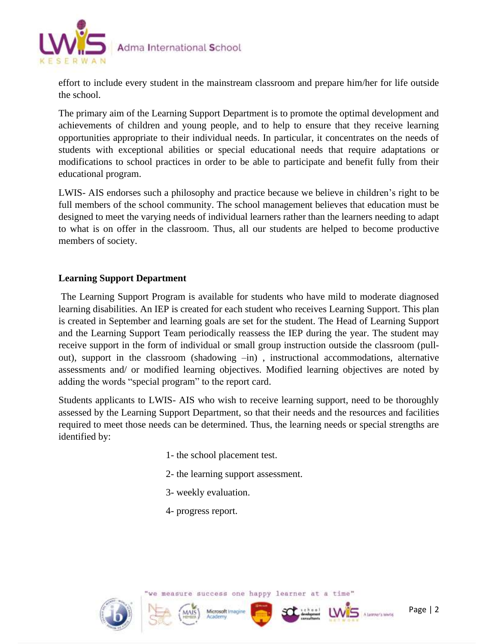

effort to include every student in the mainstream classroom and prepare him/her for life outside the school.

The primary aim of the Learning Support Department is to promote the optimal development and achievements of children and young people, and to help to ensure that they receive learning opportunities appropriate to their individual needs. In particular, it concentrates on the needs of students with exceptional abilities or special educational needs that require adaptations or modifications to school practices in order to be able to participate and benefit fully from their educational program.

LWIS- AIS endorses such a philosophy and practice because we believe in children's right to be full members of the school community. The school management believes that education must be designed to meet the varying needs of individual learners rather than the learners needing to adapt to what is on offer in the classroom. Thus, all our students are helped to become productive members of society.

# **Learning Support Department**

The Learning Support Program is available for students who have mild to moderate diagnosed learning disabilities. An IEP is created for each student who receives Learning Support. This plan is created in September and learning goals are set for the student. The Head of Learning Support and the Learning Support Team periodically reassess the IEP during the year. The student may receive support in the form of individual or small group instruction outside the classroom (pullout), support in the classroom (shadowing –in) , instructional accommodations, alternative assessments and/ or modified learning objectives. Modified learning objectives are noted by adding the words "special program" to the report card.

Students applicants to LWIS- AIS who wish to receive learning support, need to be thoroughly assessed by the Learning Support Department, so that their needs and the resources and facilities required to meet those needs can be determined. Thus, the learning needs or special strengths are identified by:

- 1- the school placement test.
- 2- the learning support assessment.
- 3- weekly evaluation.
- 4- progress report.





Microsoft Ima

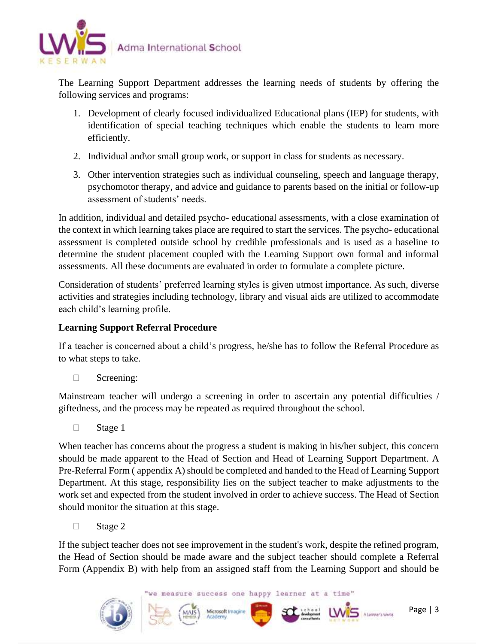

The Learning Support Department addresses the learning needs of students by offering the following services and programs:

- 1. Development of clearly focused individualized Educational plans (IEP) for students, with identification of special teaching techniques which enable the students to learn more efficiently.
- 2. Individual and\or small group work, or support in class for students as necessary.
- 3. Other intervention strategies such as individual counseling, speech and language therapy, psychomotor therapy, and advice and guidance to parents based on the initial or follow-up assessment of students' needs.

In addition, individual and detailed psycho- educational assessments, with a close examination of the context in which learning takes place are required to start the services. The psycho- educational assessment is completed outside school by credible professionals and is used as a baseline to determine the student placement coupled with the Learning Support own formal and informal assessments. All these documents are evaluated in order to formulate a complete picture.

Consideration of students' preferred learning styles is given utmost importance. As such, diverse activities and strategies including technology, library and visual aids are utilized to accommodate each child's learning profile.

# **Learning Support Referral Procedure**

If a teacher is concerned about a child's progress, he/she has to follow the Referral Procedure as to what steps to take.

□ Screening:

Mainstream teacher will undergo a screening in order to ascertain any potential difficulties / giftedness, and the process may be repeated as required throughout the school.

 $\Box$  Stage 1

When teacher has concerns about the progress a student is making in his/her subject, this concern should be made apparent to the Head of Section and Head of Learning Support Department. A Pre-Referral Form ( appendix A) should be completed and handed to the Head of Learning Support Department. At this stage, responsibility lies on the subject teacher to make adjustments to the work set and expected from the student involved in order to achieve success. The Head of Section should monitor the situation at this stage.

 $\Box$  Stage 2

If the subject teacher does not see improvement in the student's work, despite the refined program, the Head of Section should be made aware and the subject teacher should complete a Referral Form (Appendix B) with help from an assigned staff from the Learning Support and should be



Microsoft Imagi

LWIS Alarmers whose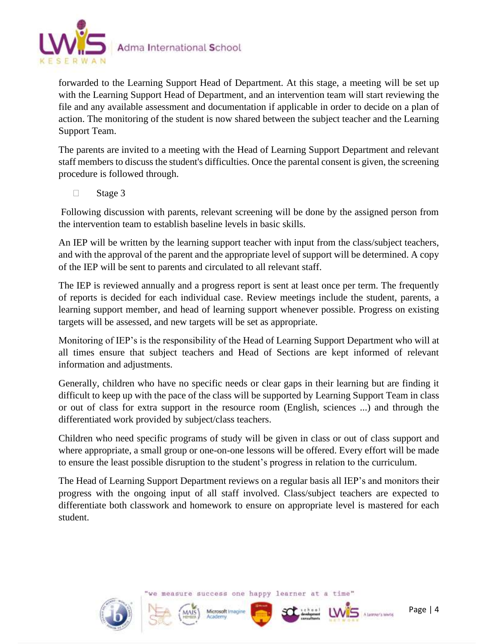

forwarded to the Learning Support Head of Department. At this stage, a meeting will be set up with the Learning Support Head of Department, and an intervention team will start reviewing the file and any available assessment and documentation if applicable in order to decide on a plan of action. The monitoring of the student is now shared between the subject teacher and the Learning Support Team.

The parents are invited to a meeting with the Head of Learning Support Department and relevant staff members to discuss the student's difficulties. Once the parental consent is given, the screening procedure is followed through.

 $\Box$  Stage 3

Following discussion with parents, relevant screening will be done by the assigned person from the intervention team to establish baseline levels in basic skills.

An IEP will be written by the learning support teacher with input from the class/subject teachers, and with the approval of the parent and the appropriate level of support will be determined. A copy of the IEP will be sent to parents and circulated to all relevant staff.

The IEP is reviewed annually and a progress report is sent at least once per term. The frequently of reports is decided for each individual case. Review meetings include the student, parents, a learning support member, and head of learning support whenever possible. Progress on existing targets will be assessed, and new targets will be set as appropriate.

Monitoring of IEP's is the responsibility of the Head of Learning Support Department who will at all times ensure that subject teachers and Head of Sections are kept informed of relevant information and adjustments.

Generally, children who have no specific needs or clear gaps in their learning but are finding it difficult to keep up with the pace of the class will be supported by Learning Support Team in class or out of class for extra support in the resource room (English, sciences ...) and through the differentiated work provided by subject/class teachers.

Children who need specific programs of study will be given in class or out of class support and where appropriate, a small group or one-on-one lessons will be offered. Every effort will be made to ensure the least possible disruption to the student's progress in relation to the curriculum.

The Head of Learning Support Department reviews on a regular basis all IEP's and monitors their progress with the ongoing input of all staff involved. Class/subject teachers are expected to differentiate both classwork and homework to ensure on appropriate level is mastered for each student.

we measure success one happy learner at a time"







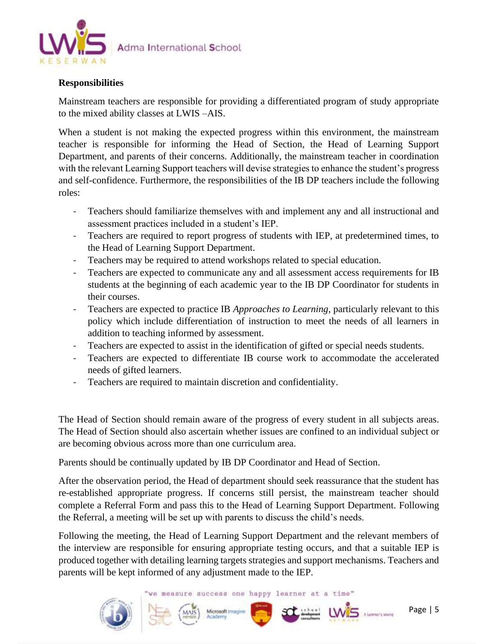

# **Responsibilities**

Mainstream teachers are responsible for providing a differentiated program of study appropriate to the mixed ability classes at LWIS –AIS.

When a student is not making the expected progress within this environment, the mainstream teacher is responsible for informing the Head of Section, the Head of Learning Support Department, and parents of their concerns. Additionally, the mainstream teacher in coordination with the relevant Learning Support teachers will devise strategies to enhance the student's progress and self-confidence. Furthermore, the responsibilities of the IB DP teachers include the following roles:

- Teachers should familiarize themselves with and implement any and all instructional and assessment practices included in a student's IEP.
- Teachers are required to report progress of students with IEP, at predetermined times, to the Head of Learning Support Department.
- Teachers may be required to attend workshops related to special education.
- Teachers are expected to communicate any and all assessment access requirements for IB students at the beginning of each academic year to the IB DP Coordinator for students in their courses.
- Teachers are expected to practice IB *Approaches to Learning*, particularly relevant to this policy which include differentiation of instruction to meet the needs of all learners in addition to teaching informed by assessment.
- Teachers are expected to assist in the identification of gifted or special needs students.
- Teachers are expected to differentiate IB course work to accommodate the accelerated needs of gifted learners.
- Teachers are required to maintain discretion and confidentiality.

The Head of Section should remain aware of the progress of every student in all subjects areas. The Head of Section should also ascertain whether issues are confined to an individual subject or are becoming obvious across more than one curriculum area.

Parents should be continually updated by IB DP Coordinator and Head of Section.

After the observation period, the Head of department should seek reassurance that the student has re-established appropriate progress. If concerns still persist, the mainstream teacher should complete a Referral Form and pass this to the Head of Learning Support Department. Following the Referral, a meeting will be set up with parents to discuss the child's needs.

Following the meeting, the Head of Learning Support Department and the relevant members of the interview are responsible for ensuring appropriate testing occurs, and that a suitable IEP is produced together with detailing learning targets strategies and support mechanisms. Teachers and parents will be kept informed of any adjustment made to the IEP.

we measure success one happy learner at a time"

Microsoft Imagine





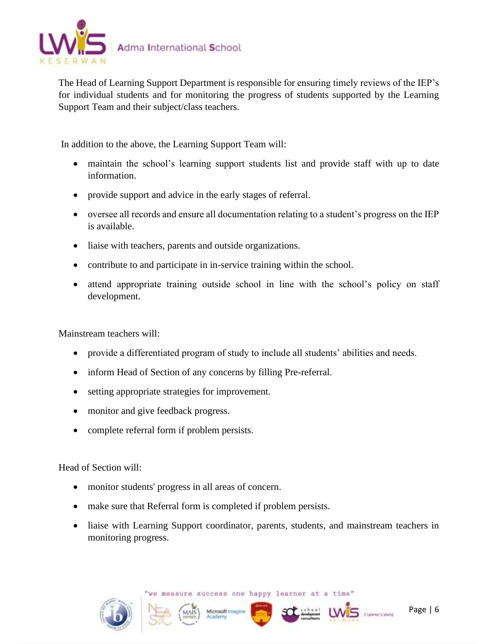

The Head of Learning Support Department is responsible for ensuring timely reviews of the IEP's for individual students and for monitoring the progress of students supported by the Learning Support Team and their subject/class teachers.

In addition to the above, the Learning Support Team will:

- maintain the school's learning support students list and provide staff with up to date information.
- provide support and advice in the early stages of referral.
- oversee all records and ensure all documentation relating to a student's progress on the IEP is available.
- liaise with teachers, parents and outside organizations.
- contribute to and participate in in-service training within the school.
- attend appropriate training outside school in line with the school's policy on staff development.

Mainstream teachers will:

- provide a differentiated program of study to include all students' abilities and needs.
- inform Head of Section of any concerns by filling Pre-referral.
- setting appropriate strategies for improvement.
- monitor and give feedback progress.
- complete referral form if problem persists.

Head of Section will:

- monitor students' progress in all areas of concern.
- make sure that Referral form is completed if problem persists.
- liaise with Learning Support coordinator, parents, students, and mainstream teachers in monitoring progress.



Microsoft Imag





 $UNS$  Alarmers which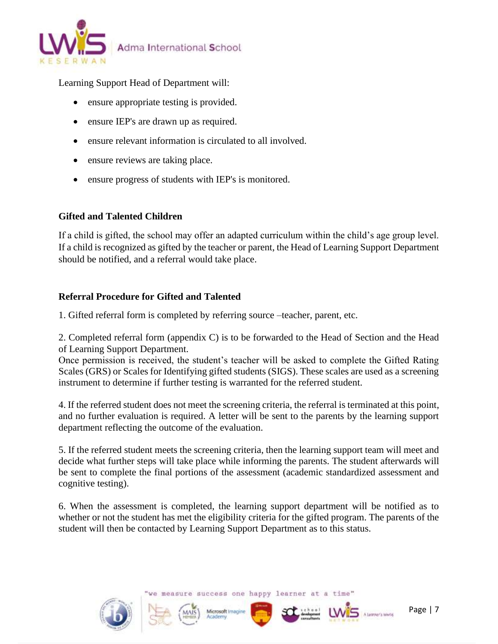

Learning Support Head of Department will:

- ensure appropriate testing is provided.
- ensure IEP's are drawn up as required.
- ensure relevant information is circulated to all involved.
- ensure reviews are taking place.
- ensure progress of students with IEP's is monitored.

# **Gifted and Talented Children**

If a child is gifted, the school may offer an adapted curriculum within the child's age group level. If a child is recognized as gifted by the teacher or parent, the Head of Learning Support Department should be notified, and a referral would take place.

# **Referral Procedure for Gifted and Talented**

1. Gifted referral form is completed by referring source –teacher, parent, etc.

2. Completed referral form (appendix C) is to be forwarded to the Head of Section and the Head of Learning Support Department.

Once permission is received, the student's teacher will be asked to complete the Gifted Rating Scales (GRS) or Scales for Identifying gifted students (SIGS). These scales are used as a screening instrument to determine if further testing is warranted for the referred student.

4. If the referred student does not meet the screening criteria, the referral is terminated at this point, and no further evaluation is required. A letter will be sent to the parents by the learning support department reflecting the outcome of the evaluation.

5. If the referred student meets the screening criteria, then the learning support team will meet and decide what further steps will take place while informing the parents. The student afterwards will be sent to complete the final portions of the assessment (academic standardized assessment and cognitive testing).

6. When the assessment is completed, the learning support department will be notified as to whether or not the student has met the eligibility criteria for the gifted program. The parents of the student will then be contacted by Learning Support Department as to this status.



we measure success one happy learner at a time"

Microsoft Imar

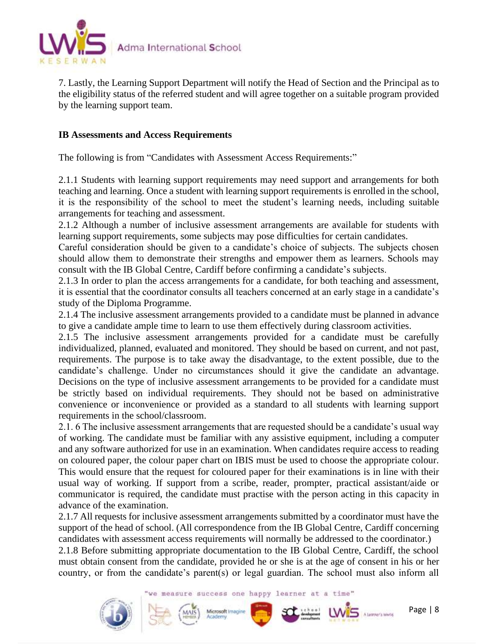

7. Lastly, the Learning Support Department will notify the Head of Section and the Principal as to the eligibility status of the referred student and will agree together on a suitable program provided by the learning support team.

# **IB Assessments and Access Requirements**

The following is from "Candidates with Assessment Access Requirements:"

2.1.1 Students with learning support requirements may need support and arrangements for both teaching and learning. Once a student with learning support requirements is enrolled in the school, it is the responsibility of the school to meet the student's learning needs, including suitable arrangements for teaching and assessment.

2.1.2 Although a number of inclusive assessment arrangements are available for students with learning support requirements, some subjects may pose difficulties for certain candidates.

Careful consideration should be given to a candidate's choice of subjects. The subjects chosen should allow them to demonstrate their strengths and empower them as learners. Schools may consult with the IB Global Centre, Cardiff before confirming a candidate's subjects.

2.1.3 In order to plan the access arrangements for a candidate, for both teaching and assessment, it is essential that the coordinator consults all teachers concerned at an early stage in a candidate's study of the Diploma Programme.

2.1.4 The inclusive assessment arrangements provided to a candidate must be planned in advance to give a candidate ample time to learn to use them effectively during classroom activities.

2.1.5 The inclusive assessment arrangements provided for a candidate must be carefully individualized, planned, evaluated and monitored. They should be based on current, and not past, requirements. The purpose is to take away the disadvantage, to the extent possible, due to the candidate's challenge. Under no circumstances should it give the candidate an advantage. Decisions on the type of inclusive assessment arrangements to be provided for a candidate must be strictly based on individual requirements. They should not be based on administrative convenience or inconvenience or provided as a standard to all students with learning support requirements in the school/classroom.

2.1. 6 The inclusive assessment arrangements that are requested should be a candidate's usual way of working. The candidate must be familiar with any assistive equipment, including a computer and any software authorized for use in an examination. When candidates require access to reading on coloured paper, the colour paper chart on IBIS must be used to choose the appropriate colour. This would ensure that the request for coloured paper for their examinations is in line with their usual way of working. If support from a scribe, reader, prompter, practical assistant/aide or communicator is required, the candidate must practise with the person acting in this capacity in advance of the examination.

2.1.7 All requests for inclusive assessment arrangements submitted by a coordinator must have the support of the head of school. (All correspondence from the IB Global Centre, Cardiff concerning candidates with assessment access requirements will normally be addressed to the coordinator.)

2.1.8 Before submitting appropriate documentation to the IB Global Centre, Cardiff, the school must obtain consent from the candidate, provided he or she is at the age of consent in his or her country, or from the candidate's parent(s) or legal guardian. The school must also inform all

we measure success one happy learner at a time"

Microsoft Imagin



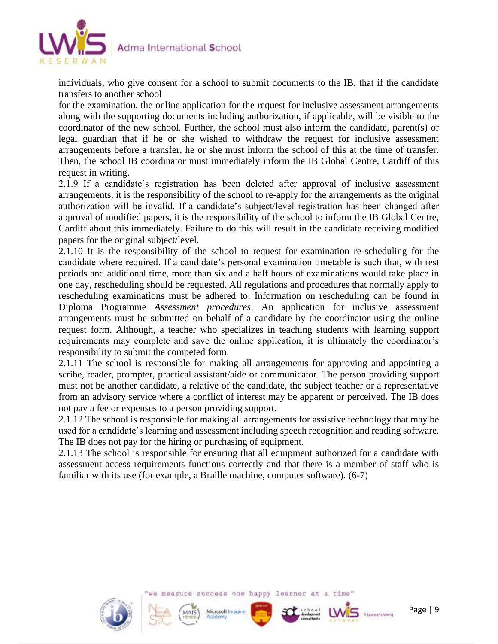

individuals, who give consent for a school to submit documents to the IB, that if the candidate transfers to another school

for the examination, the online application for the request for inclusive assessment arrangements along with the supporting documents including authorization, if applicable, will be visible to the coordinator of the new school. Further, the school must also inform the candidate, parent(s) or legal guardian that if he or she wished to withdraw the request for inclusive assessment arrangements before a transfer, he or she must inform the school of this at the time of transfer. Then, the school IB coordinator must immediately inform the IB Global Centre, Cardiff of this request in writing.

2.1.9 If a candidate's registration has been deleted after approval of inclusive assessment arrangements, it is the responsibility of the school to re-apply for the arrangements as the original authorization will be invalid. If a candidate's subject/level registration has been changed after approval of modified papers, it is the responsibility of the school to inform the IB Global Centre, Cardiff about this immediately. Failure to do this will result in the candidate receiving modified papers for the original subject/level.

2.1.10 It is the responsibility of the school to request for examination re-scheduling for the candidate where required. If a candidate's personal examination timetable is such that, with rest periods and additional time, more than six and a half hours of examinations would take place in one day, rescheduling should be requested. All regulations and procedures that normally apply to rescheduling examinations must be adhered to. Information on rescheduling can be found in Diploma Programme *Assessment procedures*. An application for inclusive assessment arrangements must be submitted on behalf of a candidate by the coordinator using the online request form. Although, a teacher who specializes in teaching students with learning support requirements may complete and save the online application, it is ultimately the coordinator's responsibility to submit the competed form.

2.1.11 The school is responsible for making all arrangements for approving and appointing a scribe, reader, prompter, practical assistant/aide or communicator. The person providing support must not be another candidate, a relative of the candidate, the subject teacher or a representative from an advisory service where a conflict of interest may be apparent or perceived. The IB does not pay a fee or expenses to a person providing support.

2.1.12 The school is responsible for making all arrangements for assistive technology that may be used for a candidate's learning and assessment including speech recognition and reading software. The IB does not pay for the hiring or purchasing of equipment.

2.1.13 The school is responsible for ensuring that all equipment authorized for a candidate with assessment access requirements functions correctly and that there is a member of staff who is familiar with its use (for example, a Braille machine, computer software). (6-7)



measure success one happy learner at a time"

Microsoft Ima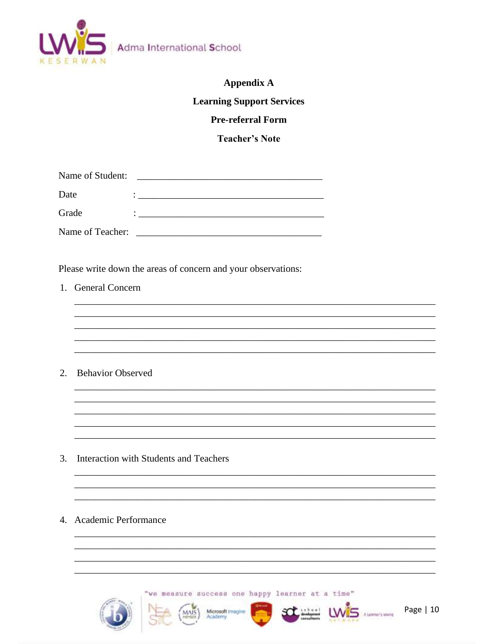

Adma International School

# **Appendix A**

# **Learning Support Services**

# **Pre-referral Form**

**Teacher's Note** 

<u> 1999 - 1999 - 1999 - 1999 - 1999 - 1999 - 1999 - 1999 - 1999 - 1999 - 1999 - 1999 - 1999 - 1999 - 1999 - 199</u>

| Name of Student: |  |
|------------------|--|
| Date             |  |
| Grade            |  |
| Name of Teacher: |  |

Please write down the areas of concern and your observations:

1. General Concern

2. Behavior Observed

- 3. Interaction with Students and Teachers
- 4. Academic Performance

"we measure success one happy learner at a time"

Microsoft Imagine



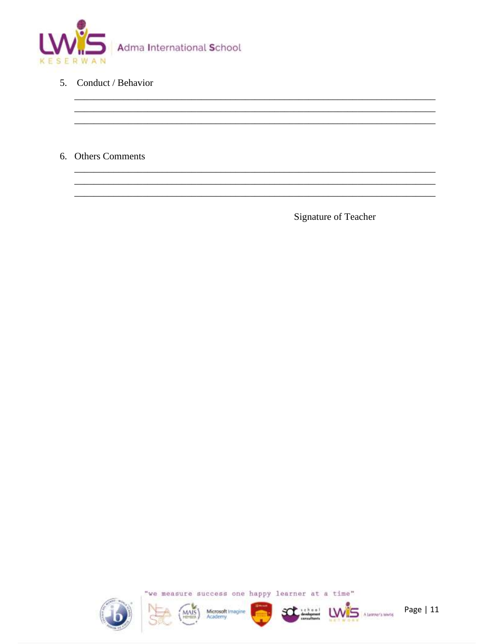

- 5. Conduct / Behavior
- 6. Others Comments

Signature of Teacher





MAIS Microsoft Imagine



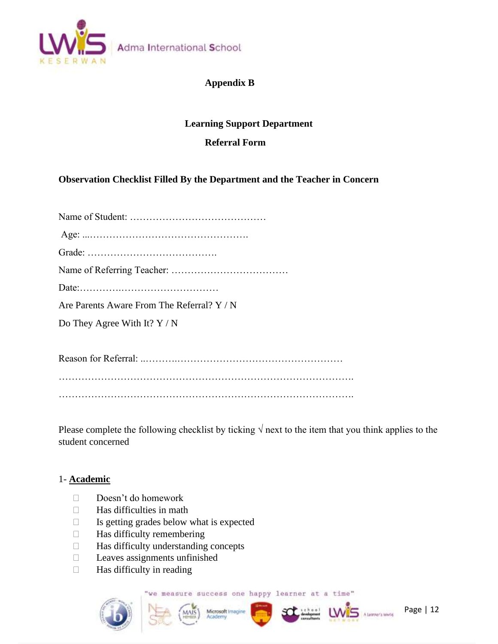

# **Appendix B**

# **Learning Support Department**

# **Referral Form**

# **Observation Checklist Filled By the Department and the Teacher in Concern**

| Are Parents Aware From The Referral? $Y/N$ |
|--------------------------------------------|
| Do They Agree With It? $Y / N$             |
|                                            |
|                                            |
|                                            |

……………………………………………………………………………….

Please complete the following checklist by ticking  $\sqrt{}$  next to the item that you think applies to the student concerned

#### 1- **Academic**

- Doesn't do homework
- $\Box$  Has difficulties in math
- $\Box$  Is getting grades below what is expected
- $\Box$  Has difficulty remembering
- $\Box$  Has difficulty understanding concepts
- $\Box$  Leaves assignments unfinished
- $\Box$  Has difficulty in reading

"we measure success one happy learner at a time"









Page | 12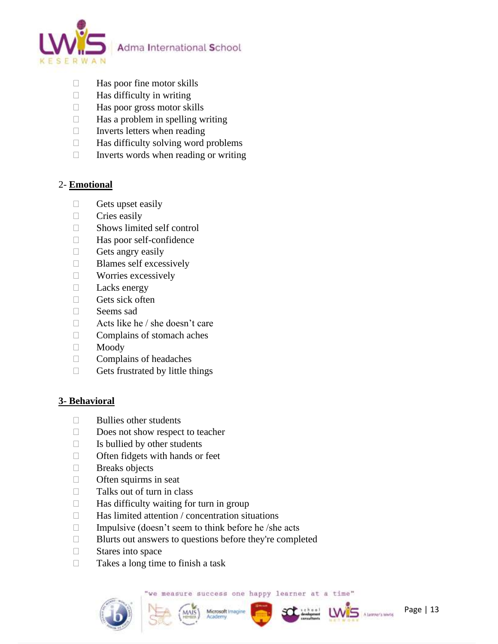

- $\Box$  Has poor fine motor skills
- $\Box$  Has difficulty in writing
- $\Box$  Has poor gross motor skills
- $\Box$  Has a problem in spelling writing
- $\Box$  Inverts letters when reading
- $\Box$  Has difficulty solving word problems
- $\Box$  Inverts words when reading or writing

# 2- **Emotional**

- $\Box$  Gets upset easily
- $\Box$  Cries easily
- □ Shows limited self control
- □ Has poor self-confidence
- $\Box$  Gets angry easily
- **Blames self excessively**
- **Norries excessively**
- $\Box$  Lacks energy
- $\Box$  Gets sick often
- □ Seems sad
- $\Box$  Acts like he / she doesn't care
- $\Box$  Complains of stomach aches
- Moody
- $\Box$  Complains of headaches
- $\Box$  Gets frustrated by little things

# **3- Behavioral**

- $\Box$  Bullies other students
- Does not show respect to teacher
- $\Box$  Is bullied by other students
- $\Box$  Often fidgets with hands or feet
- **Breaks** objects
- $\Box$  Often squirms in seat
- $\Box$  Talks out of turn in class
- $\Box$  Has difficulty waiting for turn in group
- $\Box$  Has limited attention / concentration situations
- $\Box$  Impulsive (doesn't seem to think before he /she acts
- $\Box$  Blurts out answers to questions before they're completed
- $\Box$  Stares into space
- $\Box$  Takes a long time to finish a task

we measure success one happy learner at a time"







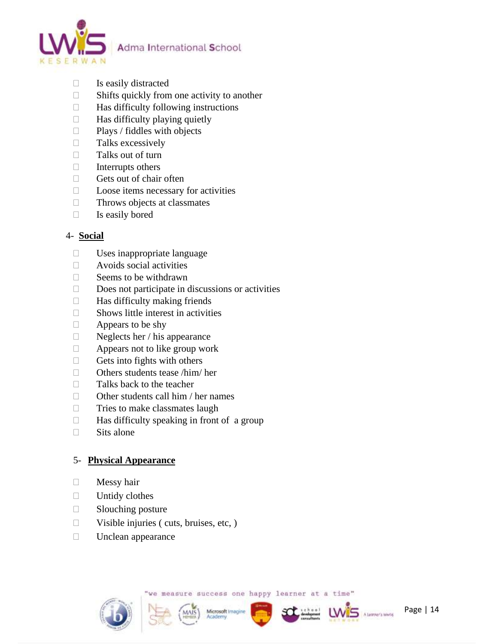

- $\Box$  Is easily distracted
- $\Box$  Shifts quickly from one activity to another
- $\Box$  Has difficulty following instructions
- $\Box$  Has difficulty playing quietly
- $\Box$  Plays / fiddles with objects
- $\Box$  Talks excessively
- $\Box$  Talks out of turn
- $\Box$  Interrupts others
- $\Box$  Gets out of chair often
- $\Box$  Loose items necessary for activities
- $\Box$  Throws objects at classmates
- $\Box$  Is easily bored

# 4- **Social**

- $\square$  Uses inappropriate language
- $\Box$  Avoids social activities
- $\Box$  Seems to be withdrawn
- $\square$  Does not participate in discussions or activities
- $\Box$  Has difficulty making friends
- $\square$  Shows little interest in activities
- $\Box$  Appears to be shy
- $\Box$  Neglects her / his appearance
- $\Box$  Appears not to like group work
- $\Box$  Gets into fights with others
- $\Box$  Others students tease /him/ her
- $\Box$  Talks back to the teacher
- $\Box$  Other students call him / her names
- $\Box$  Tries to make classmates laugh
- $\Box$  Has difficulty speaking in front of a group
- $\Box$  Sits alone

# 5- **Physical Appearance**

- $\Box$  Messy hair
- $\Box$  Untidy clothes
- $\Box$  Slouching posture
- $\Box$  Visible injuries (cuts, bruises, etc, )
- $\Box$  Unclean appearance

we measure success one happy learner at a time"

Microsoft Imagin





**LW<sub>5</sub>**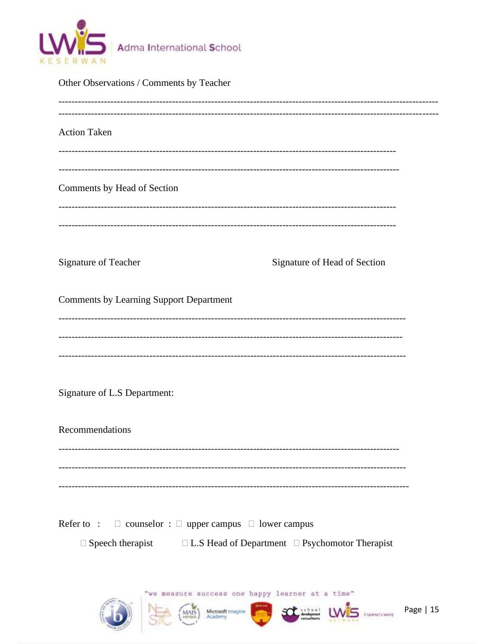

| Other Observations / Comments by Teacher<br>------------------------------                                   |                                                            |           |  |  |
|--------------------------------------------------------------------------------------------------------------|------------------------------------------------------------|-----------|--|--|
| <b>Action Taken</b>                                                                                          |                                                            |           |  |  |
| Comments by Head of Section<br>--------------------------------                                              |                                                            |           |  |  |
| Signature of Teacher                                                                                         | Signature of Head of Section                               |           |  |  |
| <b>Comments by Learning Support Department</b>                                                               |                                                            |           |  |  |
|                                                                                                              |                                                            |           |  |  |
| Signature of L.S Department:                                                                                 |                                                            |           |  |  |
| Recommendations                                                                                              |                                                            |           |  |  |
|                                                                                                              |                                                            |           |  |  |
| Refer to : $\square$ counselor : $\square$ upper campus $\square$ lower campus<br>$\square$ Speech therapist | $\Box$ L.S Head of Department $\Box$ Psychomotor Therapist |           |  |  |
| "we measure success one happy learner at a time"<br>Microsoft Imagine                                        |                                                            | Page   15 |  |  |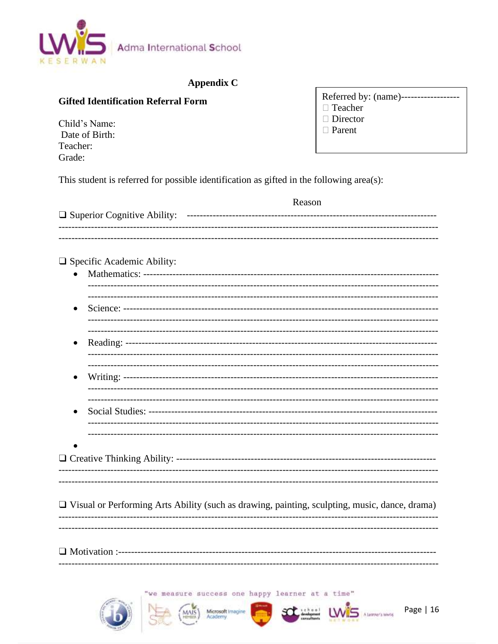

# **Appendix C**

# **Gifted Identification Referral Form**

Child's Name: Date of Birth: Teacher: Grade:

Referred by: (name)------------------- $\Box$  Teacher

- $\Box$  Director
- □ Parent

This student is referred for possible identification as gifted in the following area(s):

|           |                                                                                                      | Reason |
|-----------|------------------------------------------------------------------------------------------------------|--------|
|           | $\Box$ Specific Academic Ability:                                                                    |        |
|           |                                                                                                      |        |
| $\bullet$ |                                                                                                      |        |
|           |                                                                                                      |        |
|           |                                                                                                      |        |
|           |                                                                                                      |        |
|           | $\Box$ Visual or Performing Arts Ability (such as drawing, painting, sculpting, music, dance, drama) |        |
|           |                                                                                                      |        |

'we measure success one happy learner at a time"







 $1W<sub>5</sub>$ 

A Learner's winnig